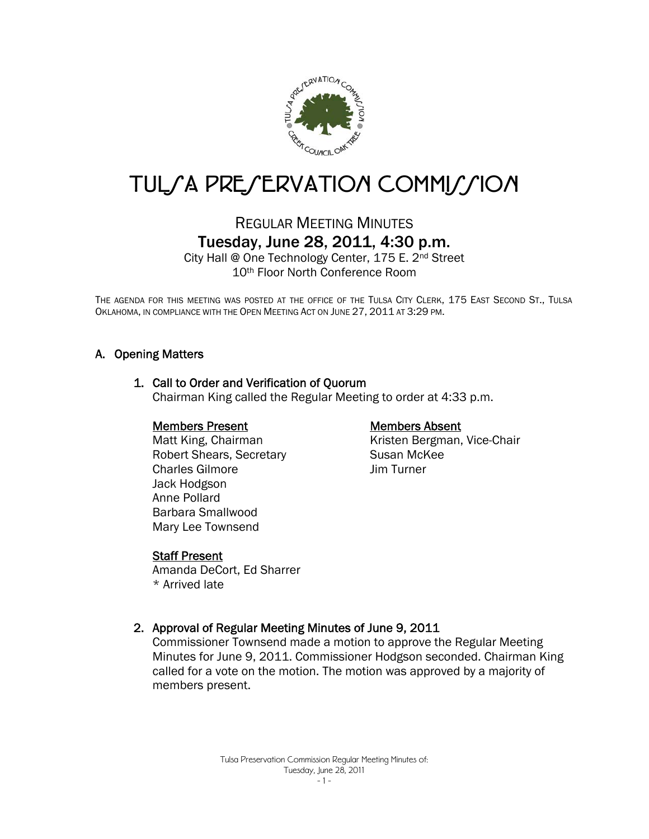

# TUL/A PRE/ERVATION COMMI//ION

# REGULAR MEETING MINUTES Tuesday, June 28, 2011, 4:30 p.m.

City Hall @ One Technology Center, 175 E. 2nd Street 10th Floor North Conference Room

THE AGENDA FOR THIS MEETING WAS POSTED AT THE OFFICE OF THE TULSA CITY CLERK, 175 EAST SECOND ST., TULSA OKLAHOMA, IN COMPLIANCE WITH THE OPEN MEETING ACT ON JUNE 27, 2011 AT 3:29 PM.

## A. Opening Matters

## 1. Call to Order and Verification of Quorum

Chairman King called the Regular Meeting to order at 4:33 p.m.

#### Members Present

 Matt King, Chairman Robert Shears, Secretary Charles Gilmore Jack Hodgson Anne Pollard Barbara Smallwood Mary Lee Townsend

#### Susan McKee Jim Turner

Members Absent

Kristen Bergman, Vice-Chair

#### Staff Present

Amanda DeCort, Ed Sharrer \* Arrived late

## 2. Approval of Regular Meeting Minutes of June 9, 2011

Commissioner Townsend made a motion to approve the Regular Meeting Minutes for June 9, 2011. Commissioner Hodgson seconded. Chairman King called for a vote on the motion. The motion was approved by a majority of members present.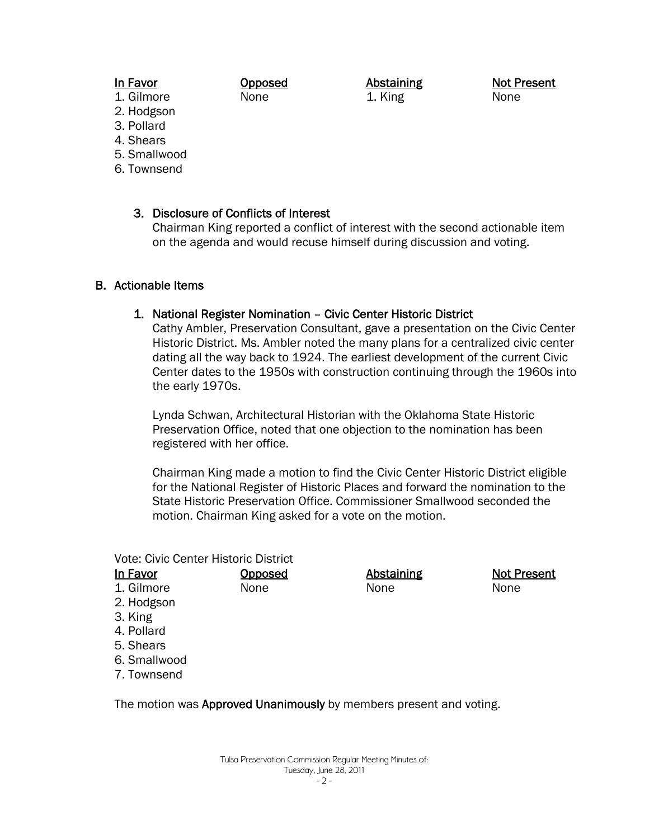## In Favor

Opposed None

Abstaining 1. King

Not Present None

- 1. Gilmore 2. Hodgson
- 3. Pollard
- 4. Shears
- 5. Smallwood
- 6. Townsend

## 3. Disclosure of Conflicts of Interest

Chairman King reported a conflict of interest with the second actionable item on the agenda and would recuse himself during discussion and voting.

## B. Actionable Items

## 1. National Register Nomination – Civic Center Historic District

Cathy Ambler, Preservation Consultant, gave a presentation on the Civic Center Historic District. Ms. Ambler noted the many plans for a centralized civic center dating all the way back to 1924. The earliest development of the current Civic Center dates to the 1950s with construction continuing through the 1960s into the early 1970s.

Lynda Schwan, Architectural Historian with the Oklahoma State Historic Preservation Office, noted that one objection to the nomination has been registered with her office.

Chairman King made a motion to find the Civic Center Historic District eligible for the National Register of Historic Places and forward the nomination to the State Historic Preservation Office. Commissioner Smallwood seconded the motion. Chairman King asked for a vote on the motion.

Vote: Civic Center Historic District

In Favor 1. Gilmore 2. Hodgson 3. King 4. Pollard 5. Shears 6. Smallwood 7. Townsend **Opposed** None Abstaining None Not Present None

The motion was **Approved Unanimously** by members present and voting.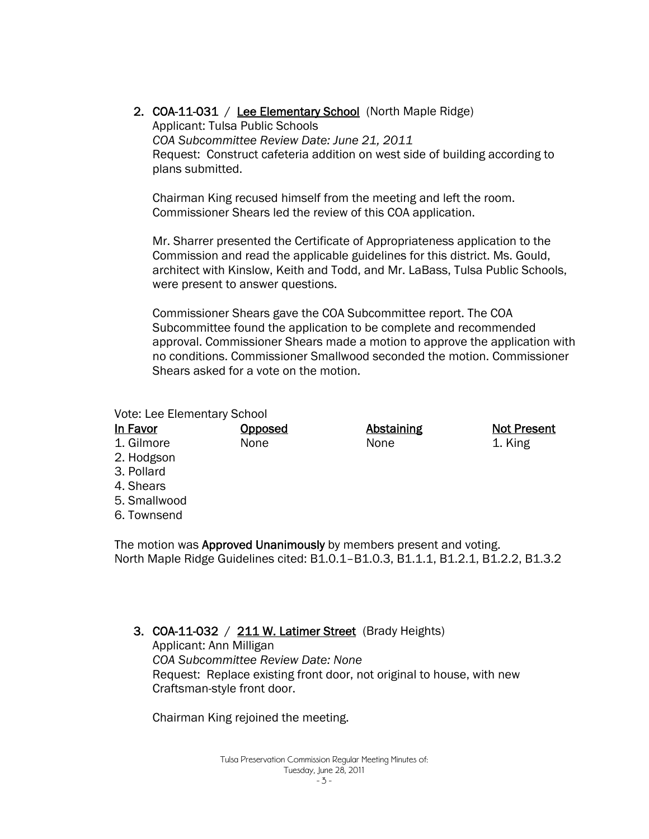2. COA-11-031 / Lee Elementary School (North Maple Ridge) Applicant: Tulsa Public Schools *COA Subcommittee Review Date: June 21, 2011*  Request: Construct cafeteria addition on west side of building according to plans submitted.

Chairman King recused himself from the meeting and left the room. Commissioner Shears led the review of this COA application.

Mr. Sharrer presented the Certificate of Appropriateness application to the Commission and read the applicable guidelines for this district. Ms. Gould, architect with Kinslow, Keith and Todd, and Mr. LaBass, Tulsa Public Schools, were present to answer questions.

Commissioner Shears gave the COA Subcommittee report. The COA Subcommittee found the application to be complete and recommended approval. Commissioner Shears made a motion to approve the application with no conditions. Commissioner Smallwood seconded the motion. Commissioner Shears asked for a vote on the motion.

#### Vote: Lee Elementary School

| In Favor     | <u>Opposed</u> | <b>Abstaining</b> | <b>Not Present</b> |
|--------------|----------------|-------------------|--------------------|
| 1. Gilmore   | None           | None              | 1. King            |
| 2. Hodgson   |                |                   |                    |
| 3. Pollard   |                |                   |                    |
| 4. Shears    |                |                   |                    |
| 5. Smallwood |                |                   |                    |
| 6. Townsend  |                |                   |                    |
|              |                |                   |                    |

The motion was **Approved Unanimously** by members present and voting. North Maple Ridge Guidelines cited: B1.0.1–B1.0.3, B1.1.1, B1.2.1, B1.2.2, B1.3.2

## 3. COA-11-032 / 211 W. Latimer Street (Brady Heights)

Applicant: Ann Milligan *COA Subcommittee Review Date: None*  Request: Replace existing front door, not original to house, with new Craftsman-style front door.

Chairman King rejoined the meeting.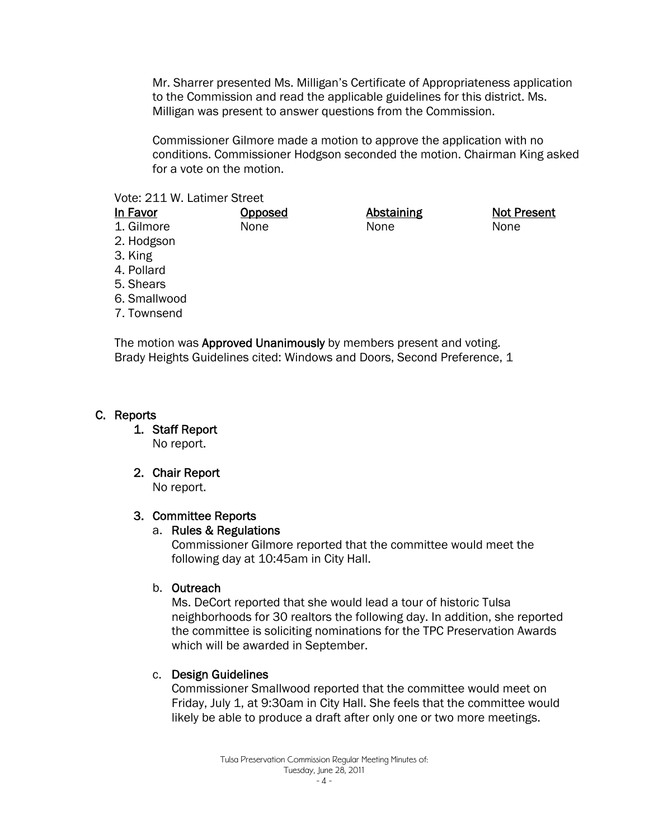Mr. Sharrer presented Ms. Milligan's Certificate of Appropriateness application to the Commission and read the applicable guidelines for this district. Ms. Milligan was present to answer questions from the Commission.

Commissioner Gilmore made a motion to approve the application with no conditions. Commissioner Hodgson seconded the motion. Chairman King asked for a vote on the motion.

#### Vote: 211 W. Latimer Street

| In Favor     | <b>Opposed</b> | <b>Abstaining</b> | <b>Not Present</b> |
|--------------|----------------|-------------------|--------------------|
| 1. Gilmore   | None           | None              | None               |
| 2. Hodgson   |                |                   |                    |
| 3. King      |                |                   |                    |
| 4. Pollard   |                |                   |                    |
| 5. Shears    |                |                   |                    |
| 6. Smallwood |                |                   |                    |
| 7. Townsend  |                |                   |                    |
|              |                |                   |                    |

The motion was **Approved Unanimously** by members present and voting. Brady Heights Guidelines cited: Windows and Doors, Second Preference, 1

## C. Reports

1. Staff Report No report.

## 2. Chair Report

No report.

## 3. Committee Reports

#### a. Rules & Regulations

Commissioner Gilmore reported that the committee would meet the following day at 10:45am in City Hall.

#### b. Outreach

Ms. DeCort reported that she would lead a tour of historic Tulsa neighborhoods for 30 realtors the following day. In addition, she reported the committee is soliciting nominations for the TPC Preservation Awards which will be awarded in September.

## c. Design Guidelines

Commissioner Smallwood reported that the committee would meet on Friday, July 1, at 9:30am in City Hall. She feels that the committee would likely be able to produce a draft after only one or two more meetings.